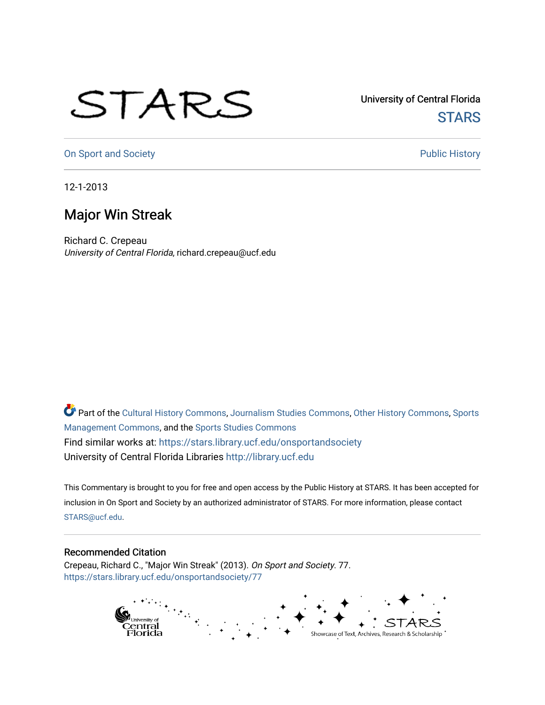## STARS

University of Central Florida **STARS** 

[On Sport and Society](https://stars.library.ucf.edu/onsportandsociety) **Public History** Public History

12-1-2013

## Major Win Streak

Richard C. Crepeau University of Central Florida, richard.crepeau@ucf.edu

Part of the [Cultural History Commons](http://network.bepress.com/hgg/discipline/496?utm_source=stars.library.ucf.edu%2Fonsportandsociety%2F77&utm_medium=PDF&utm_campaign=PDFCoverPages), [Journalism Studies Commons,](http://network.bepress.com/hgg/discipline/333?utm_source=stars.library.ucf.edu%2Fonsportandsociety%2F77&utm_medium=PDF&utm_campaign=PDFCoverPages) [Other History Commons,](http://network.bepress.com/hgg/discipline/508?utm_source=stars.library.ucf.edu%2Fonsportandsociety%2F77&utm_medium=PDF&utm_campaign=PDFCoverPages) [Sports](http://network.bepress.com/hgg/discipline/1193?utm_source=stars.library.ucf.edu%2Fonsportandsociety%2F77&utm_medium=PDF&utm_campaign=PDFCoverPages) [Management Commons](http://network.bepress.com/hgg/discipline/1193?utm_source=stars.library.ucf.edu%2Fonsportandsociety%2F77&utm_medium=PDF&utm_campaign=PDFCoverPages), and the [Sports Studies Commons](http://network.bepress.com/hgg/discipline/1198?utm_source=stars.library.ucf.edu%2Fonsportandsociety%2F77&utm_medium=PDF&utm_campaign=PDFCoverPages) Find similar works at: <https://stars.library.ucf.edu/onsportandsociety> University of Central Florida Libraries [http://library.ucf.edu](http://library.ucf.edu/) 

This Commentary is brought to you for free and open access by the Public History at STARS. It has been accepted for inclusion in On Sport and Society by an authorized administrator of STARS. For more information, please contact [STARS@ucf.edu](mailto:STARS@ucf.edu).

## Recommended Citation

Crepeau, Richard C., "Major Win Streak" (2013). On Sport and Society. 77. [https://stars.library.ucf.edu/onsportandsociety/77](https://stars.library.ucf.edu/onsportandsociety/77?utm_source=stars.library.ucf.edu%2Fonsportandsociety%2F77&utm_medium=PDF&utm_campaign=PDFCoverPages) 

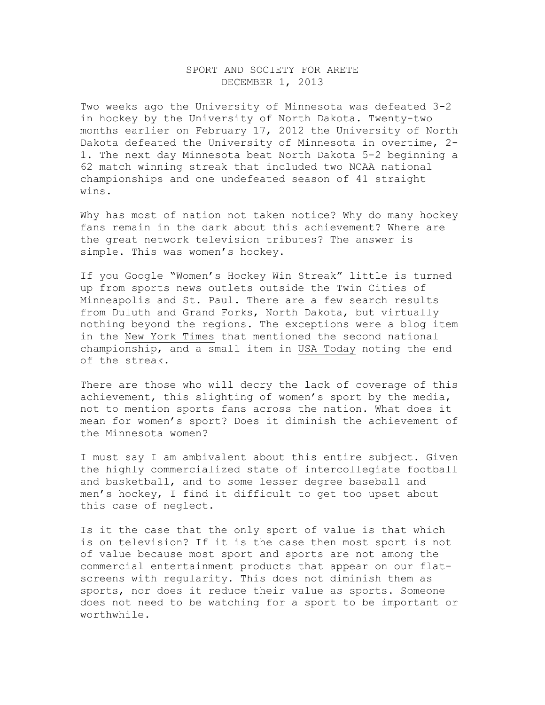## SPORT AND SOCIETY FOR ARETE DECEMBER 1, 2013

Two weeks ago the University of Minnesota was defeated 3-2 in hockey by the University of North Dakota. Twenty-two months earlier on February 17, 2012 the University of North Dakota defeated the University of Minnesota in overtime, 2- 1. The next day Minnesota beat North Dakota 5-2 beginning a 62 match winning streak that included two NCAA national championships and one undefeated season of 41 straight wins.

Why has most of nation not taken notice? Why do many hockey fans remain in the dark about this achievement? Where are the great network television tributes? The answer is simple. This was women's hockey.

If you Google "Women's Hockey Win Streak" little is turned up from sports news outlets outside the Twin Cities of Minneapolis and St. Paul. There are a few search results from Duluth and Grand Forks, North Dakota, but virtually nothing beyond the regions. The exceptions were a blog item in the New York Times that mentioned the second national championship, and a small item in USA Today noting the end of the streak.

There are those who will decry the lack of coverage of this achievement, this slighting of women's sport by the media, not to mention sports fans across the nation. What does it mean for women's sport? Does it diminish the achievement of the Minnesota women?

I must say I am ambivalent about this entire subject. Given the highly commercialized state of intercollegiate football and basketball, and to some lesser degree baseball and men's hockey, I find it difficult to get too upset about this case of neglect.

Is it the case that the only sport of value is that which is on television? If it is the case then most sport is not of value because most sport and sports are not among the commercial entertainment products that appear on our flatscreens with regularity. This does not diminish them as sports, nor does it reduce their value as sports. Someone does not need to be watching for a sport to be important or worthwhile.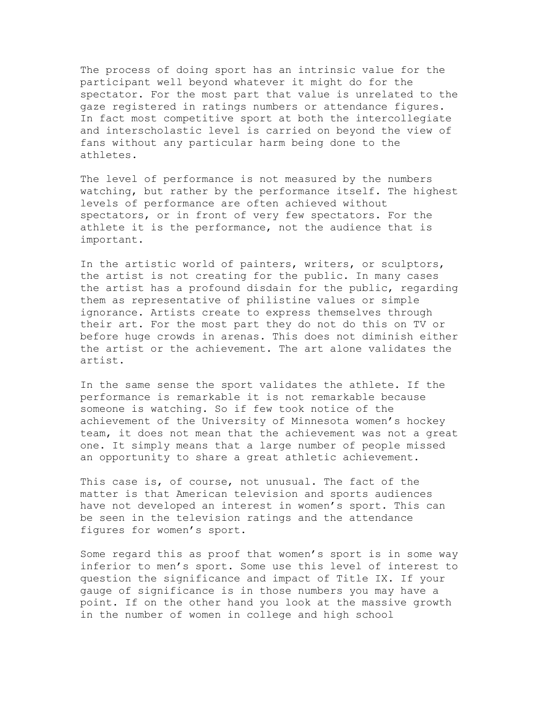The process of doing sport has an intrinsic value for the participant well beyond whatever it might do for the spectator. For the most part that value is unrelated to the gaze registered in ratings numbers or attendance figures. In fact most competitive sport at both the intercollegiate and interscholastic level is carried on beyond the view of fans without any particular harm being done to the athletes.

The level of performance is not measured by the numbers watching, but rather by the performance itself. The highest levels of performance are often achieved without spectators, or in front of very few spectators. For the athlete it is the performance, not the audience that is important.

In the artistic world of painters, writers, or sculptors, the artist is not creating for the public. In many cases the artist has a profound disdain for the public, regarding them as representative of philistine values or simple ignorance. Artists create to express themselves through their art. For the most part they do not do this on TV or before huge crowds in arenas. This does not diminish either the artist or the achievement. The art alone validates the artist.

In the same sense the sport validates the athlete. If the performance is remarkable it is not remarkable because someone is watching. So if few took notice of the achievement of the University of Minnesota women's hockey team, it does not mean that the achievement was not a great one. It simply means that a large number of people missed an opportunity to share a great athletic achievement.

This case is, of course, not unusual. The fact of the matter is that American television and sports audiences have not developed an interest in women's sport. This can be seen in the television ratings and the attendance figures for women's sport.

Some regard this as proof that women's sport is in some way inferior to men's sport. Some use this level of interest to question the significance and impact of Title IX. If your gauge of significance is in those numbers you may have a point. If on the other hand you look at the massive growth in the number of women in college and high school